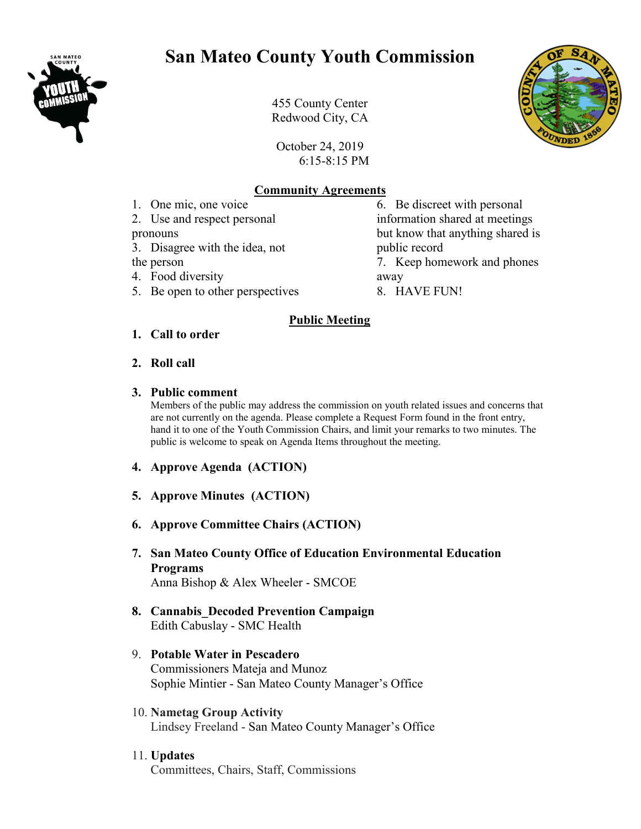

# **San Mateo County Youth Commission**



455 County Center Redwood City, CA

October 24, 2019 6:15-8:15 PM

## **Community Agreements**

**Public Meeting**

1. One mic, one voice 2. Use and respect personal

- pronouns
- 3. Disagree with the idea, not

the person

- 4. Food diversity
- 5. Be open to other perspectives

public record 7. Keep homework and phones away 8. HAVE FUN!

6. Be discreet with personal information shared at meetings but know that anything shared is

## **1. Call to order**

**2. Roll call** 

## **3. Public comment**

Members of the public may address the commission on youth related issues and concerns that are not currently on the agenda. Please complete a Request Form found in the front entry, hand it to one of the Youth Commission Chairs, and limit your remarks to two minutes. The public is welcome to speak on Agenda Items throughout the meeting.

- **4. Approve Agenda (ACTION)**
- **5. Approve Minutes (ACTION)**
- **6. Approve Committee Chairs (ACTION)**
- **7. San Mateo County Office of Education Environmental Education Programs** Anna Bishop & Alex Wheeler - SMCOE
- **8. Cannabis\_Decoded Prevention Campaign** Edith Cabuslay - SMC Health
- 9. **Potable Water in Pescadero** Commissioners Mateja and Munoz Sophie Mintier - San Mateo County Manager's Office
- 10. **Nametag Group Activity** Lindsey Freeland - San Mateo County Manager's Office
- 11. **Updates** Committees, Chairs, Staff, Commissions